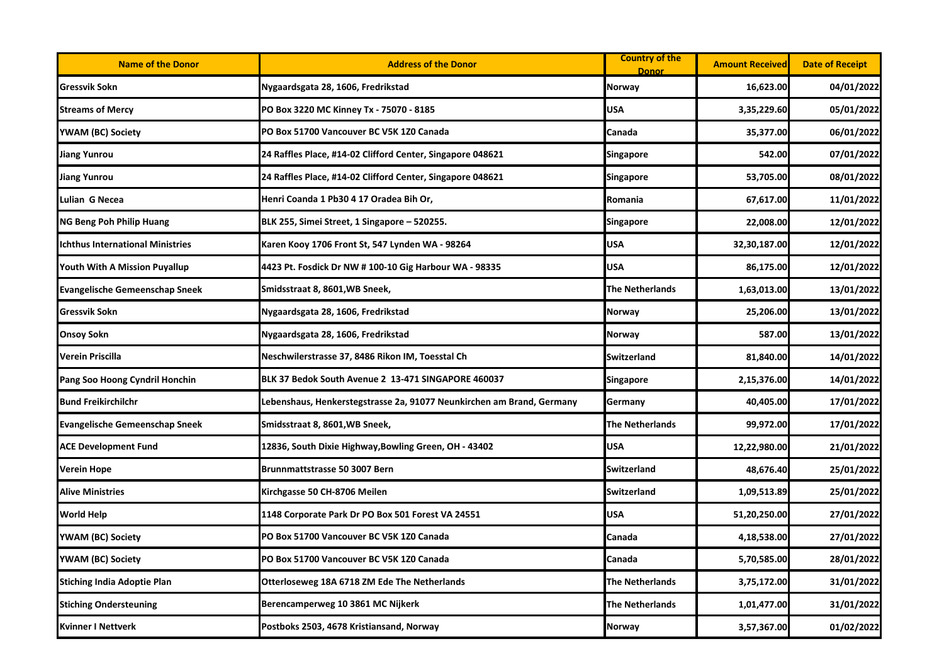| <b>Name of the Donor</b>                | <b>Address of the Donor</b>                                           | <b>Country of the</b><br><b>Donor</b> | <b>Amount Received</b> | <b>Date of Receipt</b> |
|-----------------------------------------|-----------------------------------------------------------------------|---------------------------------------|------------------------|------------------------|
| Gressvik Sokn                           | Nygaardsgata 28, 1606, Fredrikstad                                    | Norway                                | 16,623.00              | 04/01/2022             |
| <b>Streams of Mercy</b>                 | PO Box 3220 MC Kinney Tx - 75070 - 8185                               | USA                                   | 3,35,229.60            | 05/01/2022             |
| YWAM (BC) Society                       | PO Box 51700 Vancouver BC V5K 1Z0 Canada                              | Canada                                | 35,377.00              | 06/01/2022             |
| <b>Jiang Yunrou</b>                     | 24 Raffles Place, #14-02 Clifford Center, Singapore 048621            | Singapore                             | 542.00                 | 07/01/2022             |
| <b>Jiang Yunrou</b>                     | 24 Raffles Place, #14-02 Clifford Center, Singapore 048621            | Singapore                             | 53,705.00              | 08/01/2022             |
| Lulian G Necea                          | Henri Coanda 1 Pb30 4 17 Oradea Bih Or,                               | Romania                               | 67,617.00              | 11/01/2022             |
| <b>NG Beng Poh Philip Huang</b>         | BLK 255, Simei Street, 1 Singapore – 520255.                          | Singapore                             | 22,008.00              | 12/01/2022             |
| <b>Ichthus International Ministries</b> | Karen Kooy 1706 Front St, 547 Lynden WA - 98264                       | <b>USA</b>                            | 32,30,187.00           | 12/01/2022             |
| Youth With A Mission Puyallup           | 4423 Pt. Fosdick Dr NW # 100-10 Gig Harbour WA - 98335                | <b>USA</b>                            | 86,175.00              | 12/01/2022             |
| <b>Evangelische Gemeenschap Sneek</b>   | Smidsstraat 8, 8601, WB Sneek,                                        | <b>The Netherlands</b>                | 1,63,013.00            | 13/01/2022             |
| <b>Gressvik Sokn</b>                    | Nygaardsgata 28, 1606, Fredrikstad                                    | Norway                                | 25,206.00              | 13/01/2022             |
| <b>Onsoy Sokn</b>                       | Nygaardsgata 28, 1606, Fredrikstad                                    | Norway                                | 587.00                 | 13/01/2022             |
| Verein Priscilla                        | Neschwilerstrasse 37, 8486 Rikon IM, Toesstal Ch                      | <b>Switzerland</b>                    | 81,840.00              | 14/01/2022             |
| Pang Soo Hoong Cyndril Honchin          | BLK 37 Bedok South Avenue 2 13-471 SINGAPORE 460037                   | Singapore                             | 2,15,376.00            | 14/01/2022             |
| <b>Bund Freikirchilchr</b>              | Lebenshaus, Henkerstegstrasse 2a, 91077 Neunkirchen am Brand, Germany | Germany                               | 40,405.00              | 17/01/2022             |
| <b>Evangelische Gemeenschap Sneek</b>   | Smidsstraat 8, 8601,WB Sneek,                                         | <b>The Netherlands</b>                | 99,972.00              | 17/01/2022             |
| <b>ACE Development Fund</b>             | 12836, South Dixie Highway,Bowling Green, OH - 43402                  | <b>USA</b>                            | 12,22,980.00           | 21/01/2022             |
| <b>Verein Hope</b>                      | Brunnmattstrasse 50 3007 Bern                                         | <b>Switzerland</b>                    | 48,676.40              | 25/01/2022             |
| <b>Alive Ministries</b>                 | Kirchgasse 50 CH-8706 Meilen                                          | <b>Switzerland</b>                    | 1,09,513.89            | 25/01/2022             |
| <b>World Help</b>                       | 1148 Corporate Park Dr PO Box 501 Forest VA 24551                     | USA                                   | 51,20,250.00           | 27/01/2022             |
| YWAM (BC) Society                       | PO Box 51700 Vancouver BC V5K 1Z0 Canada                              | Canada                                | 4,18,538.00            | 27/01/2022             |
| YWAM (BC) Society                       | PO Box 51700 Vancouver BC V5K 1Z0 Canada                              | Canada                                | 5,70,585.00            | 28/01/2022             |
| <b>Stiching India Adoptie Plan</b>      | Otterloseweg 18A 6718 ZM Ede The Netherlands                          | <b>The Netherlands</b>                | 3,75,172.00            | 31/01/2022             |
| <b>Stiching Ondersteuning</b>           | Berencamperweg 10 3861 MC Nijkerk                                     | The Netherlands                       | 1,01,477.00            | 31/01/2022             |
| <b>Kvinner I Nettverk</b>               | Postboks 2503, 4678 Kristiansand, Norway                              | <b>Norway</b>                         | 3,57,367.00            | 01/02/2022             |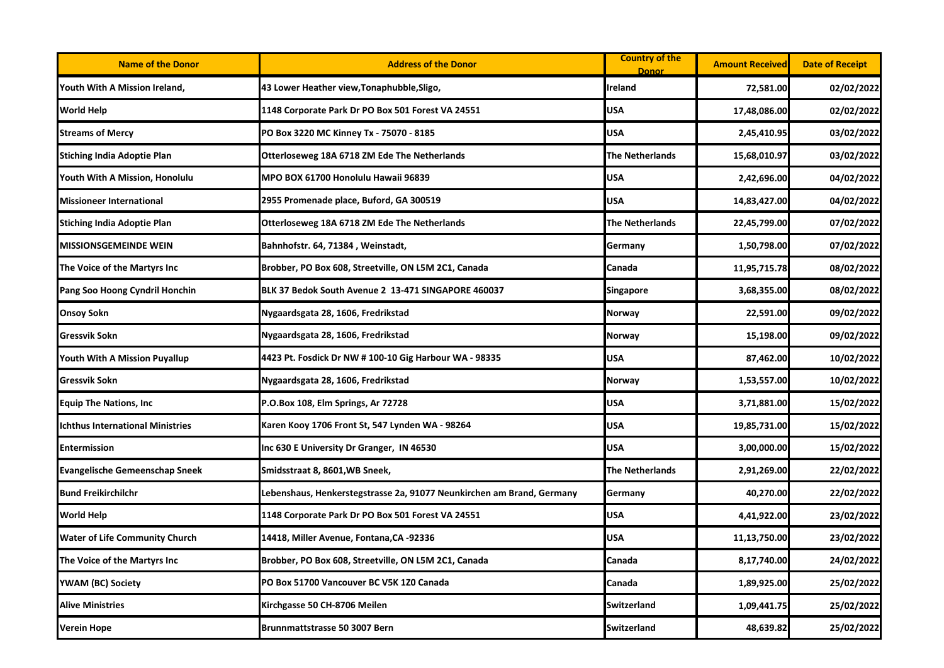| <b>Name of the Donor</b>                | <b>Address of the Donor</b>                                           | <b>Country of the</b><br><b>Donor</b> | <b>Amount Received</b> | <b>Date of Receipt</b> |
|-----------------------------------------|-----------------------------------------------------------------------|---------------------------------------|------------------------|------------------------|
| Youth With A Mission Ireland,           | 43 Lower Heather view, Tonaphubble, Sligo,                            | <b>Ireland</b>                        | 72,581.00              | 02/02/2022             |
| <b>World Help</b>                       | 1148 Corporate Park Dr PO Box 501 Forest VA 24551                     | <b>USA</b>                            | 17,48,086.00           | 02/02/2022             |
| <b>Streams of Mercy</b>                 | PO Box 3220 MC Kinney Tx - 75070 - 8185                               | <b>USA</b>                            | 2,45,410.95            | 03/02/2022             |
| <b>Stiching India Adoptie Plan</b>      | Otterloseweg 18A 6718 ZM Ede The Netherlands                          | <b>The Netherlands</b>                | 15,68,010.97           | 03/02/2022             |
| Youth With A Mission, Honolulu          | MPO BOX 61700 Honolulu Hawaii 96839                                   | USA                                   | 2,42,696.00            | 04/02/2022             |
| Missioneer International                | 2955 Promenade place, Buford, GA 300519                               | <b>USA</b>                            | 14,83,427.00           | 04/02/2022             |
| <b>Stiching India Adoptie Plan</b>      | Otterloseweg 18A 6718 ZM Ede The Netherlands                          | <b>The Netherlands</b>                | 22,45,799.00           | 07/02/2022             |
| <b>MISSIONSGEMEINDE WEIN</b>            | Bahnhofstr. 64, 71384, Weinstadt,                                     | Germany                               | 1,50,798.00            | 07/02/2022             |
| The Voice of the Martyrs Inc            | Brobber, PO Box 608, Streetville, ON L5M 2C1, Canada                  | Canada                                | 11,95,715.78           | 08/02/2022             |
| Pang Soo Hoong Cyndril Honchin          | BLK 37 Bedok South Avenue 2 13-471 SINGAPORE 460037                   | Singapore                             | 3,68,355.00            | 08/02/2022             |
| <b>Onsoy Sokn</b>                       | Nygaardsgata 28, 1606, Fredrikstad                                    | Norway                                | 22,591.00              | 09/02/2022             |
| <b>Gressvik Sokn</b>                    | Nygaardsgata 28, 1606, Fredrikstad                                    | Norway                                | 15,198.00              | 09/02/2022             |
| Youth With A Mission Puyallup           | 4423 Pt. Fosdick Dr NW # 100-10 Gig Harbour WA - 98335                | <b>USA</b>                            | 87,462.00              | 10/02/2022             |
| <b>Gressvik Sokn</b>                    | Nygaardsgata 28, 1606, Fredrikstad                                    | Norway                                | 1,53,557.00            | 10/02/2022             |
| <b>Equip The Nations, Inc.</b>          | P.O.Box 108, Elm Springs, Ar 72728                                    | <b>USA</b>                            | 3,71,881.00            | 15/02/2022             |
| <b>Ichthus International Ministries</b> | Karen Kooy 1706 Front St, 547 Lynden WA - 98264                       | USA                                   | 19,85,731.00           | 15/02/2022             |
| <b>Entermission</b>                     | Inc 630 E University Dr Granger, IN 46530                             | <b>USA</b>                            | 3,00,000.00            | 15/02/2022             |
| <b>Evangelische Gemeenschap Sneek</b>   | Smidsstraat 8, 8601, WB Sneek,                                        | <b>The Netherlands</b>                | 2,91,269.00            | 22/02/2022             |
| <b>Bund Freikirchilchr</b>              | Lebenshaus, Henkerstegstrasse 2a, 91077 Neunkirchen am Brand, Germany | Germany                               | 40,270.00              | 22/02/2022             |
| <b>World Help</b>                       | 1148 Corporate Park Dr PO Box 501 Forest VA 24551                     | <b>USA</b>                            | 4,41,922.00            | 23/02/2022             |
| <b>Water of Life Community Church</b>   | 14418, Miller Avenue, Fontana,CA -92336                               | <b>USA</b>                            | 11,13,750.00           | 23/02/2022             |
| The Voice of the Martyrs Inc            | Brobber, PO Box 608, Streetville, ON L5M 2C1, Canada                  | Canada                                | 8,17,740.00            | 24/02/2022             |
| YWAM (BC) Society                       | PO Box 51700 Vancouver BC V5K 1Z0 Canada                              | Canada                                | 1,89,925.00            | 25/02/2022             |
| <b>Alive Ministries</b>                 | Kirchgasse 50 CH-8706 Meilen                                          | Switzerland                           | 1,09,441.75            | 25/02/2022             |
| <b>Verein Hope</b>                      | <b>Brunnmattstrasse 50 3007 Bern</b>                                  | <b>Switzerland</b>                    | 48,639.82              | 25/02/2022             |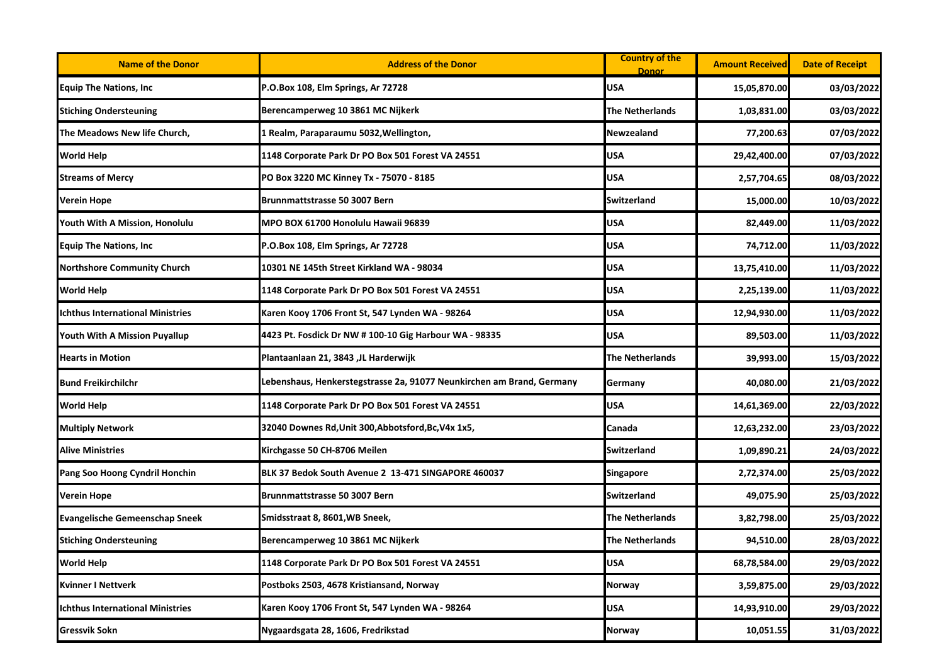| <b>Name of the Donor</b>                | <b>Address of the Donor</b>                                           | <b>Country of the</b><br><b>Donor</b> | <b>Amount Received</b> | <b>Date of Receipt</b> |
|-----------------------------------------|-----------------------------------------------------------------------|---------------------------------------|------------------------|------------------------|
| <b>Equip The Nations, Inc</b>           | P.O.Box 108, Elm Springs, Ar 72728                                    | <b>USA</b>                            | 15,05,870.00           | 03/03/2022             |
| <b>Stiching Ondersteuning</b>           | Berencamperweg 10 3861 MC Nijkerk                                     | The Netherlands                       | 1,03,831.00            | 03/03/2022             |
| The Meadows New life Church,            | 1 Realm, Paraparaumu 5032, Wellington,                                | Newzealand                            | 77,200.63              | 07/03/2022             |
| <b>World Help</b>                       | 1148 Corporate Park Dr PO Box 501 Forest VA 24551                     | <b>USA</b>                            | 29,42,400.00           | 07/03/2022             |
| <b>Streams of Mercy</b>                 | PO Box 3220 MC Kinney Tx - 75070 - 8185                               | <b>USA</b>                            | 2,57,704.65            | 08/03/2022             |
| <b>Verein Hope</b>                      | Brunnmattstrasse 50 3007 Bern                                         | <b>Switzerland</b>                    | 15,000.00              | 10/03/2022             |
| Youth With A Mission, Honolulu          | MPO BOX 61700 Honolulu Hawaii 96839                                   | <b>USA</b>                            | 82,449.00              | 11/03/2022             |
| <b>Equip The Nations, Inc</b>           | P.O.Box 108, Elm Springs, Ar 72728                                    | <b>USA</b>                            | 74,712.00              | 11/03/2022             |
| <b>Northshore Community Church</b>      | 10301 NE 145th Street Kirkland WA - 98034                             | <b>USA</b>                            | 13,75,410.00           | 11/03/2022             |
| <b>World Help</b>                       | 1148 Corporate Park Dr PO Box 501 Forest VA 24551                     | <b>USA</b>                            | 2,25,139.00            | 11/03/2022             |
| <b>Ichthus International Ministries</b> | Karen Kooy 1706 Front St, 547 Lynden WA - 98264                       | <b>USA</b>                            | 12,94,930.00           | 11/03/2022             |
| Youth With A Mission Puyallup           | 4423 Pt. Fosdick Dr NW # 100-10 Gig Harbour WA - 98335                | <b>USA</b>                            | 89,503.00              | 11/03/2022             |
| <b>Hearts in Motion</b>                 | Plantaanlaan 21, 3843 ,JL Harderwijk                                  | <b>The Netherlands</b>                | 39,993.00              | 15/03/2022             |
| <b>Bund Freikirchilchr</b>              | Lebenshaus, Henkerstegstrasse 2a, 91077 Neunkirchen am Brand, Germany | Germany                               | 40,080.00              | 21/03/2022             |
| <b>World Help</b>                       | 1148 Corporate Park Dr PO Box 501 Forest VA 24551                     | <b>USA</b>                            | 14,61,369.00           | 22/03/2022             |
| <b>Multiply Network</b>                 | 32040 Downes Rd, Unit 300, Abbotsford, Bc, V4x 1x5,                   | Canada                                | 12,63,232.00           | 23/03/2022             |
| <b>Alive Ministries</b>                 | Kirchgasse 50 CH-8706 Meilen                                          | <b>Switzerland</b>                    | 1,09,890.21            | 24/03/2022             |
| Pang Soo Hoong Cyndril Honchin          | BLK 37 Bedok South Avenue 2 13-471 SINGAPORE 460037                   | <b>Singapore</b>                      | 2,72,374.00            | 25/03/2022             |
| <b>Verein Hope</b>                      | Brunnmattstrasse 50 3007 Bern                                         | Switzerland                           | 49,075.90              | 25/03/2022             |
| <b>Evangelische Gemeenschap Sneek</b>   | Smidsstraat 8, 8601, WB Sneek,                                        | The Netherlands                       | 3,82,798.00            | 25/03/2022             |
| <b>Stiching Ondersteuning</b>           | Berencamperweg 10 3861 MC Nijkerk                                     | <b>The Netherlands</b>                | 94,510.00              | 28/03/2022             |
| <b>World Help</b>                       | 1148 Corporate Park Dr PO Box 501 Forest VA 24551                     | <b>USA</b>                            | 68,78,584.00           | 29/03/2022             |
| <b>Kvinner I Nettverk</b>               | Postboks 2503, 4678 Kristiansand, Norway                              | Norway                                | 3,59,875.00            | 29/03/2022             |
| <b>Ichthus International Ministries</b> | Karen Kooy 1706 Front St, 547 Lynden WA - 98264                       | <b>USA</b>                            | 14,93,910.00           | 29/03/2022             |
| <b>Gressvik Sokn</b>                    | Nygaardsgata 28, 1606, Fredrikstad                                    | <b>Norway</b>                         | 10,051.55              | 31/03/2022             |